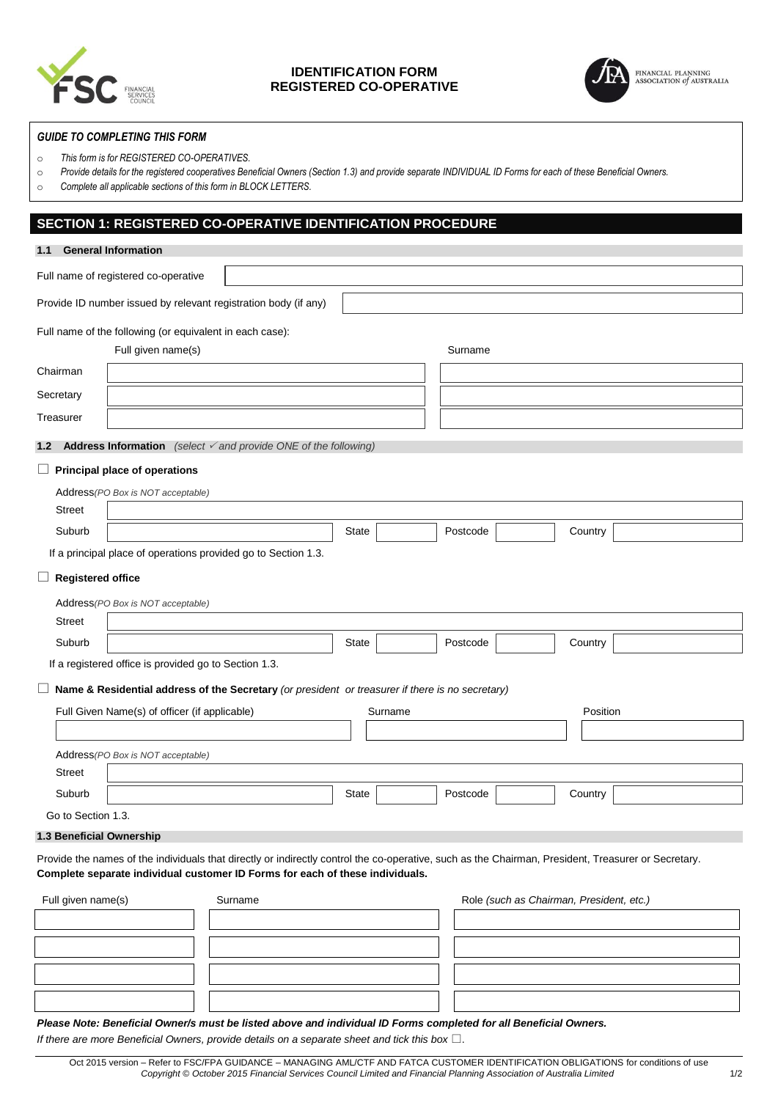

## **IDENTIFICATION FORM REGISTERED CO-OPERATIVE**



### *GUIDE TO COMPLETING THIS FORM*

o *This form is for REGISTERED CO-OPERATIVES.* 

- o *Provide details for the registered cooperatives Beneficial Owners (Section 1.3) and provide separate INDIVIDUAL ID Forms for each of these Beneficial Owners.*
- o *Complete all applicable sections of this form in BLOCK LETTERS.*

## **SECTION 1: REGISTERED CO-OPERATIVE IDENTIFICATION PROCEDURE**

| 1.1                                                      | <b>General Information</b>                            |                                                                                                                                                                                                                                      |              |                                          |  |          |  |
|----------------------------------------------------------|-------------------------------------------------------|--------------------------------------------------------------------------------------------------------------------------------------------------------------------------------------------------------------------------------------|--------------|------------------------------------------|--|----------|--|
|                                                          | Full name of registered co-operative                  |                                                                                                                                                                                                                                      |              |                                          |  |          |  |
|                                                          |                                                       | Provide ID number issued by relevant registration body (if any)                                                                                                                                                                      |              |                                          |  |          |  |
|                                                          |                                                       | Full name of the following (or equivalent in each case):                                                                                                                                                                             |              |                                          |  |          |  |
|                                                          | Full given name(s)                                    |                                                                                                                                                                                                                                      |              | Surname                                  |  |          |  |
| Chairman                                                 |                                                       |                                                                                                                                                                                                                                      |              |                                          |  |          |  |
| Secretary                                                |                                                       |                                                                                                                                                                                                                                      |              |                                          |  |          |  |
| Treasurer                                                |                                                       |                                                                                                                                                                                                                                      |              |                                          |  |          |  |
| 1.2                                                      |                                                       | <b>Address Information</b> (select $\checkmark$ and provide ONE of the following)                                                                                                                                                    |              |                                          |  |          |  |
|                                                          | $\Box$ Principal place of operations                  |                                                                                                                                                                                                                                      |              |                                          |  |          |  |
|                                                          | Address (PO Box is NOT acceptable)                    |                                                                                                                                                                                                                                      |              |                                          |  |          |  |
| <b>Street</b>                                            |                                                       |                                                                                                                                                                                                                                      |              |                                          |  |          |  |
| Suburb                                                   |                                                       |                                                                                                                                                                                                                                      | State        | Postcode                                 |  | Country  |  |
|                                                          |                                                       | If a principal place of operations provided go to Section 1.3.                                                                                                                                                                       |              |                                          |  |          |  |
| <b>Registered office</b><br>ப                            |                                                       |                                                                                                                                                                                                                                      |              |                                          |  |          |  |
|                                                          | Address (PO Box is NOT acceptable)                    |                                                                                                                                                                                                                                      |              |                                          |  |          |  |
| <b>Street</b>                                            |                                                       |                                                                                                                                                                                                                                      |              |                                          |  |          |  |
| Suburb                                                   |                                                       |                                                                                                                                                                                                                                      | <b>State</b> | Postcode                                 |  | Country  |  |
|                                                          | If a registered office is provided go to Section 1.3. |                                                                                                                                                                                                                                      |              |                                          |  |          |  |
| ⊔                                                        |                                                       | Name & Residential address of the Secretary (or president or treasurer if there is no secretary)                                                                                                                                     |              |                                          |  |          |  |
| Full Given Name(s) of officer (if applicable)<br>Surname |                                                       |                                                                                                                                                                                                                                      |              |                                          |  | Position |  |
|                                                          |                                                       |                                                                                                                                                                                                                                      |              |                                          |  |          |  |
|                                                          | Address (PO Box is NOT acceptable)                    |                                                                                                                                                                                                                                      |              |                                          |  |          |  |
| <b>Street</b>                                            |                                                       |                                                                                                                                                                                                                                      |              |                                          |  |          |  |
| Suburb                                                   |                                                       |                                                                                                                                                                                                                                      | <b>State</b> | Postcode                                 |  | Country  |  |
| Go to Section 1.3.                                       |                                                       |                                                                                                                                                                                                                                      |              |                                          |  |          |  |
| 1.3 Beneficial Ownership                                 |                                                       |                                                                                                                                                                                                                                      |              |                                          |  |          |  |
|                                                          |                                                       | Provide the names of the individuals that directly or indirectly control the co-operative, such as the Chairman, President, Treasurer or Secretary.<br>Complete separate individual customer ID Forms for each of these individuals. |              |                                          |  |          |  |
| Full given name(s)<br>Surname                            |                                                       |                                                                                                                                                                                                                                      |              | Role (such as Chairman, President, etc.) |  |          |  |
|                                                          |                                                       |                                                                                                                                                                                                                                      |              |                                          |  |          |  |
|                                                          |                                                       |                                                                                                                                                                                                                                      |              |                                          |  |          |  |

### *Please Note: Beneficial Owner/s must be listed above and individual ID Forms completed for all Beneficial Owners.*

*If there are more Beneficial Owners, provide details on a separate sheet and tick this box*  $\square$ .